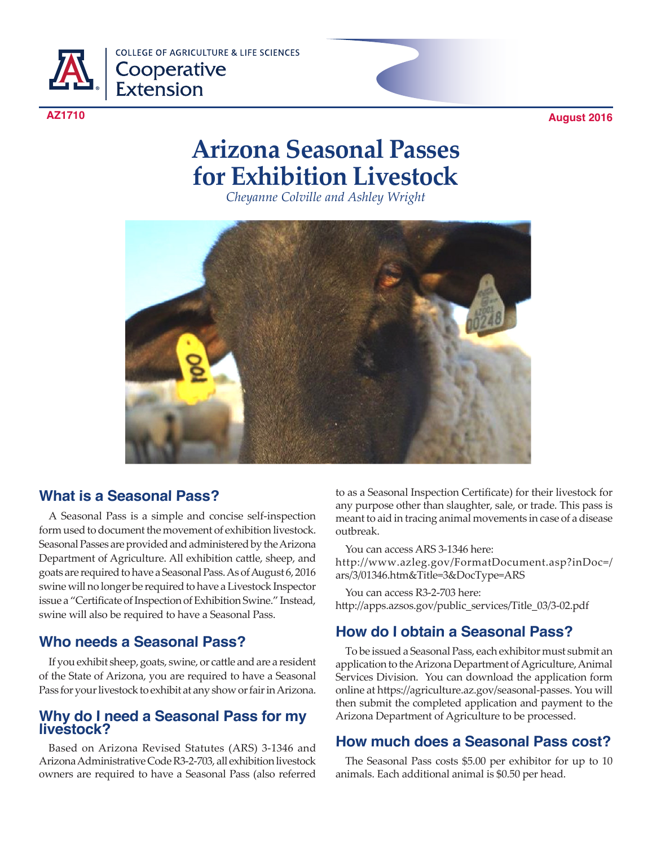

**COLLEGE OF AGRICULTURE & LIFE SCIENCES** Cooperative<br>Extension

**AZ1710 August 2016**

# **Arizona Seasonal Passes for Exhibition Livestock**

*Cheyanne Colville and Ashley Wright*



# **What is a Seasonal Pass?**

A Seasonal Pass is a simple and concise self-inspection form used to document the movement of exhibition livestock. Seasonal Passes are provided and administered by the Arizona Department of Agriculture. All exhibition cattle, sheep, and goats are required to have a Seasonal Pass. As of August 6, 2016 swine will no longer be required to have a Livestock Inspector issue a "Certificate of Inspection of Exhibition Swine." Instead, swine will also be required to have a Seasonal Pass.

# **Who needs a Seasonal Pass?**

If you exhibit sheep, goats, swine, or cattle and are a resident of the State of Arizona, you are required to have a Seasonal Pass for your livestock to exhibit at any show or fair in Arizona.

## **Why do I need a Seasonal Pass for my livestock?**

Based on Arizona Revised Statutes (ARS) 3-1346 and Arizona Administrative Code R3-2-703, all exhibition livestock owners are required to have a Seasonal Pass (also referred

to as a Seasonal Inspection Certificate) for their livestock for any purpose other than slaughter, sale, or trade. This pass is meant to aid in tracing animal movements in case of a disease outbreak.

You can access ARS 3-1346 here: http://www.azleg.gov/FormatDocument.asp?inDoc=/ ars/3/01346.htm&Title=3&DocType=ARS

You can access R3-2-703 here: http://apps.azsos.gov/public\_services/Title\_03/3-02.pdf

# **How do I obtain a Seasonal Pass?**

To be issued a Seasonal Pass, each exhibitor must submit an application to the Arizona Department of Agriculture, Animal Services Division. You can download the application form online at https://agriculture.az.gov/seasonal-passes. You will then submit the completed application and payment to the Arizona Department of Agriculture to be processed.

# **How much does a Seasonal Pass cost?**

The Seasonal Pass costs \$5.00 per exhibitor for up to 10 animals. Each additional animal is \$0.50 per head.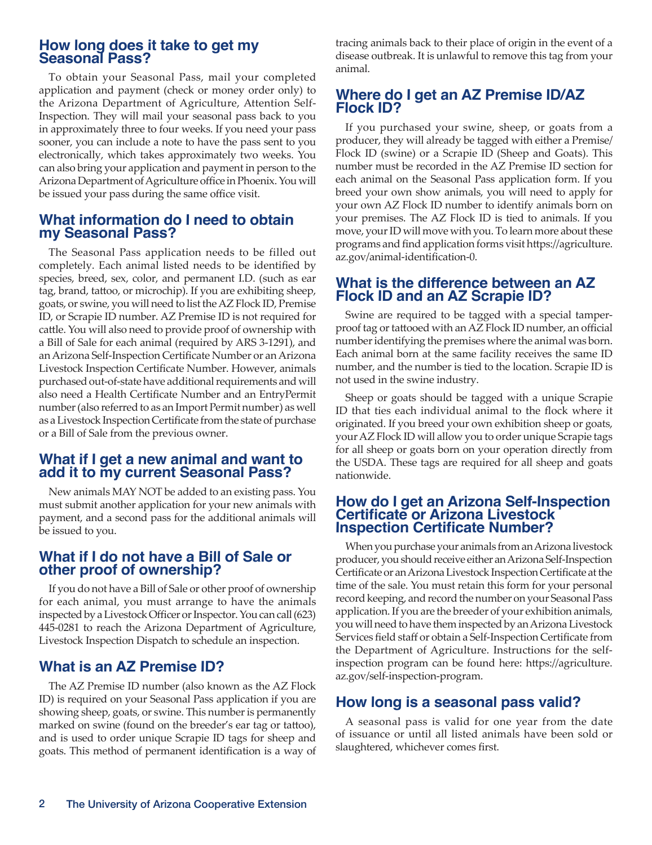## **How long does it take to get my Seasonal Pass?**

To obtain your Seasonal Pass, mail your completed application and payment (check or money order only) to the Arizona Department of Agriculture, Attention Self-Inspection. They will mail your seasonal pass back to you in approximately three to four weeks. If you need your pass sooner, you can include a note to have the pass sent to you electronically, which takes approximately two weeks. You can also bring your application and payment in person to the Arizona Department of Agriculture office in Phoenix. You will be issued your pass during the same office visit.

#### **What information do I need to obtain my Seasonal Pass?**

The Seasonal Pass application needs to be filled out completely. Each animal listed needs to be identified by species, breed, sex, color, and permanent I.D. (such as ear tag, brand, tattoo, or microchip). If you are exhibiting sheep, goats, or swine, you will need to list the AZ Flock ID, Premise ID, or Scrapie ID number. AZ Premise ID is not required for cattle. You will also need to provide proof of ownership with a Bill of Sale for each animal (required by ARS 3-1291), and an Arizona Self-Inspection Certificate Number or an Arizona Livestock Inspection Certificate Number. However, animals purchased out-of-state have additional requirements and will also need a Health Certificate Number and an EntryPermit number (also referred to as an Import Permit number) as well as a Livestock Inspection Certificate from the state of purchase or a Bill of Sale from the previous owner.

#### **What if I get a new animal and want to add it to my current Seasonal Pass?**

New animals MAY NOT be added to an existing pass. You must submit another application for your new animals with payment, and a second pass for the additional animals will be issued to you.

#### **What if I do not have a Bill of Sale or other proof of ownership?**

If you do not have a Bill of Sale or other proof of ownership for each animal, you must arrange to have the animals inspected by a Livestock Officer or Inspector. You can call (623) 445-0281 to reach the Arizona Department of Agriculture, Livestock Inspection Dispatch to schedule an inspection.

## **What is an AZ Premise ID?**

The AZ Premise ID number (also known as the AZ Flock ID) is required on your Seasonal Pass application if you are showing sheep, goats, or swine. This number is permanently marked on swine (found on the breeder's ear tag or tattoo), and is used to order unique Scrapie ID tags for sheep and goats. This method of permanent identification is a way of

tracing animals back to their place of origin in the event of a disease outbreak. It is unlawful to remove this tag from your animal.

## **Where do I get an AZ Premise ID/AZ Flock ID?**

If you purchased your swine, sheep, or goats from a producer, they will already be tagged with either a Premise/ Flock ID (swine) or a Scrapie ID (Sheep and Goats). This number must be recorded in the AZ Premise ID section for each animal on the Seasonal Pass application form. If you breed your own show animals, you will need to apply for your own AZ Flock ID number to identify animals born on your premises. The AZ Flock ID is tied to animals. If you move, your ID will move with you. To learn more about these programs and find application forms visit https://agriculture. az.gov/animal-identification-0.

## **What is the difference between an AZ Flock ID and an AZ Scrapie ID?**

Swine are required to be tagged with a special tamperproof tag or tattooed with an AZ Flock ID number, an official number identifying the premises where the animal was born. Each animal born at the same facility receives the same ID number, and the number is tied to the location. Scrapie ID is not used in the swine industry.

Sheep or goats should be tagged with a unique Scrapie ID that ties each individual animal to the flock where it originated. If you breed your own exhibition sheep or goats, your AZ Flock ID will allow you to order unique Scrapie tags for all sheep or goats born on your operation directly from the USDA. These tags are required for all sheep and goats nationwide.

#### **How do I get an Arizona Self-Inspection Certificate or Arizona Livestock Inspection Certificate Number?**

When you purchase your animals from an Arizona livestock producer, you should receive either an Arizona Self-Inspection Certificate or an Arizona Livestock Inspection Certificate at the time of the sale. You must retain this form for your personal record keeping, and record the number on your Seasonal Pass application. If you are the breeder of your exhibition animals, you will need to have them inspected by an Arizona Livestock Services field staff or obtain a Self-Inspection Certificate from the Department of Agriculture. Instructions for the selfinspection program can be found here: https://agriculture. az.gov/self-inspection-program.

## **How long is a seasonal pass valid?**

A seasonal pass is valid for one year from the date of issuance or until all listed animals have been sold or slaughtered, whichever comes first.